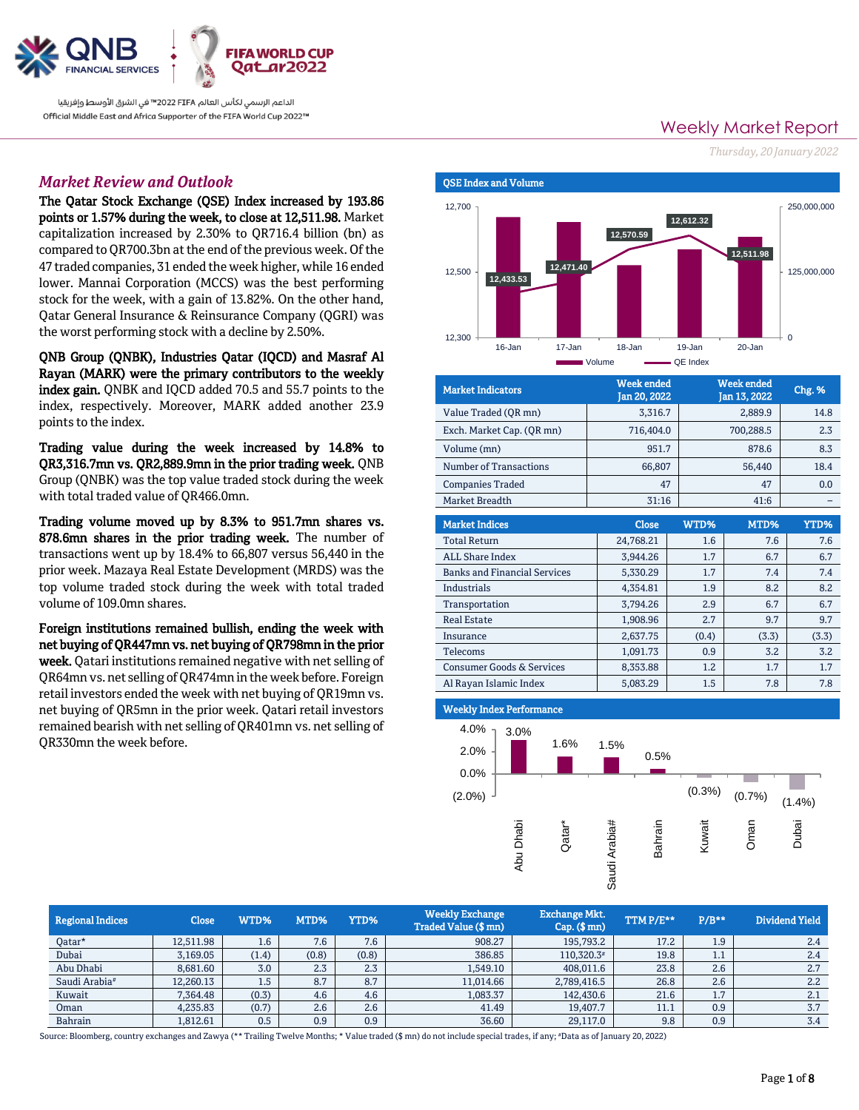

الداعم الرسمي لكأس العالم 2022 FIFA™ في الشرق الأوسط وإفريقيا Official Middle East and Africa Supporter of the FIFA World Cup 2022™

# *Market Review and Outlook*

The Qatar Stock Exchange (QSE) Index increased by 193.86 points or 1.57% during the week, to close at 12,511.98. Market capitalization increased by 2.30% to QR716.4 billion (bn) as compared to QR700.3bn at the end of the previous week. Of the 47 traded companies, 31 ended the week higher, while 16 ended lower. Mannai Corporation (MCCS) was the best performing stock for the week, with a gain of 13.82%. On the other hand, Qatar General Insurance & Reinsurance Company (QGRI) was the worst performing stock with a decline by 2.50%.

QNB Group (QNBK), Industries Qatar (IQCD) and Masraf Al Rayan (MARK) were the primary contributors to the weekly index gain. QNBK and IQCD added 70.5 and 55.7 points to the index, respectively. Moreover, MARK added another 23.9 points to the index.

Trading value during the week increased by 14.8% to QR3,316.7mn vs. QR2,889.9mn in the prior trading week. QNB Group (QNBK) was the top value traded stock during the week with total traded value of QR466.0mn.

Trading volume moved up by 8.3% to 951.7mn shares vs. 878.6mn shares in the prior trading week. The number of transactions went up by 18.4% to 66,807 versus 56,440 in the prior week. Mazaya Real Estate Development (MRDS) was the top volume traded stock during the week with total traded volume of 109.0mn shares.

Foreign institutions remained bullish, ending the week with net buying of QR447mn vs. net buying of QR798mn in the prior week. Qatari institutions remained negative with net selling of QR64mn vs. net selling of QR474mn in the week before. Foreign retail investors ended the week with net buying of QR19mn vs. net buying of QR5mn in the prior week. Qatari retail investors remained bearish with net selling of QR401mn vs. net selling of QR330mn the week before.

Weekly Market Report *Thursday, 20 January2022*



| <b>Market Indicators</b>  | <b>Week ended</b><br>Jan 20, 2022 | <b>Week ended</b><br>Jan 13, 2022 | Chg. % |
|---------------------------|-----------------------------------|-----------------------------------|--------|
| Value Traded (QR mn)      | 3.316.7                           | 2.889.9                           | 14.8   |
| Exch. Market Cap. (OR mn) | 716,404.0                         | 700,288.5                         | 2.3    |
| Volume (mn)               | 951.7                             | 878.6                             | 8.3    |
| Number of Transactions    | 66.807                            | 56,440                            | 18.4   |
| <b>Companies Traded</b>   | 47                                | 47                                | 0.0    |
| Market Breadth            | 31:16                             | 41:6                              |        |

| <b>Market Indices</b>                | <b>Close</b> | WTD%  | MTD%  | YTD%  |
|--------------------------------------|--------------|-------|-------|-------|
| <b>Total Return</b>                  | 24,768.21    | 1.6   | 7.6   | 7.6   |
| <b>ALL Share Index</b>               | 3.944.26     | 1.7   | 6.7   | 6.7   |
| <b>Banks and Financial Services</b>  | 5,330.29     | 1.7   | 7.4   | 7.4   |
| Industrials                          | 4,354.81     | 1.9   | 8.2   | 8.2   |
| Transportation                       | 3,794.26     | 2.9   | 6.7   | 6.7   |
| <b>Real Estate</b>                   | 1,908.96     | 2.7   | 9.7   | 9.7   |
| Insurance                            | 2,637.75     | (0.4) | (3.3) | (3.3) |
| Telecoms                             | 1.091.73     | 0.9   | 3.2   | 3.2   |
| <b>Consumer Goods &amp; Services</b> | 8,353.88     | 1.2   | 1.7   | 1.7   |
| Al Rayan Islamic Index               | 5,083.29     | 1.5   | 7.8   | 7.8   |

# Weekly Index Performance



| <b>Regional Indices</b>   | <b>Close</b> | WTD%  | MTD%  | YTD%  | <b>Weekly Exchange</b><br><b>Traded Value (\$ mn)</b> | <b>Exchange Mkt.</b><br>$Cap.$ (\$ mn) | TTMP/E** | $P/B**$         | Dividend Yield |
|---------------------------|--------------|-------|-------|-------|-------------------------------------------------------|----------------------------------------|----------|-----------------|----------------|
| Qatar*                    | 12,511.98    | 1.6   | 7.6   | 7.6   | 908.27                                                | 195,793.2                              | 17.2     | 1.9             | 2.4            |
| Dubai                     | 3,169.05     | (1.4) | (0.8) | (0.8) | 386.85                                                | 110,320.3#                             | 19.8     | $\pm \cdot \pm$ | 2.4            |
| Abu Dhabi                 | 8,681.60     | 3.0   | 2.3   | 2.3   | 1,549.10                                              | 408,011.6                              | 23.8     | 2.6             | 2.7            |
| Saudi Arabia <sup>#</sup> | 12,260.13    | 1.5   | 8.7   | 8.7   | 11,014.66                                             | 2,789,416.5                            | 26.8     | 2.6             | 2.2            |
| Kuwait                    | 7.364.48     | (0.3) | 4.6   | 4.6   | 1,083.37                                              | 142,430.6                              | 21.6     | 1.7             | 2.1            |
| Oman                      | 4,235.83     | (0.7) | 2.6   | 2.6   | 41.49                                                 | 19,407.7                               | 11.1     | 0.9             | 3.7            |
| <b>Bahrain</b>            | 1,812.61     | 0.5   | 0.9   | 0.9   | 36.60                                                 | 29,117.0                               | 9.8      | 0.9             | 3.4            |

Source: Bloomberg, country exchanges and Zawya (\*\* Trailing Twelve Months; \* Value traded (\$ mn) do not include special trades, if any; #Data as of January 20, 2022)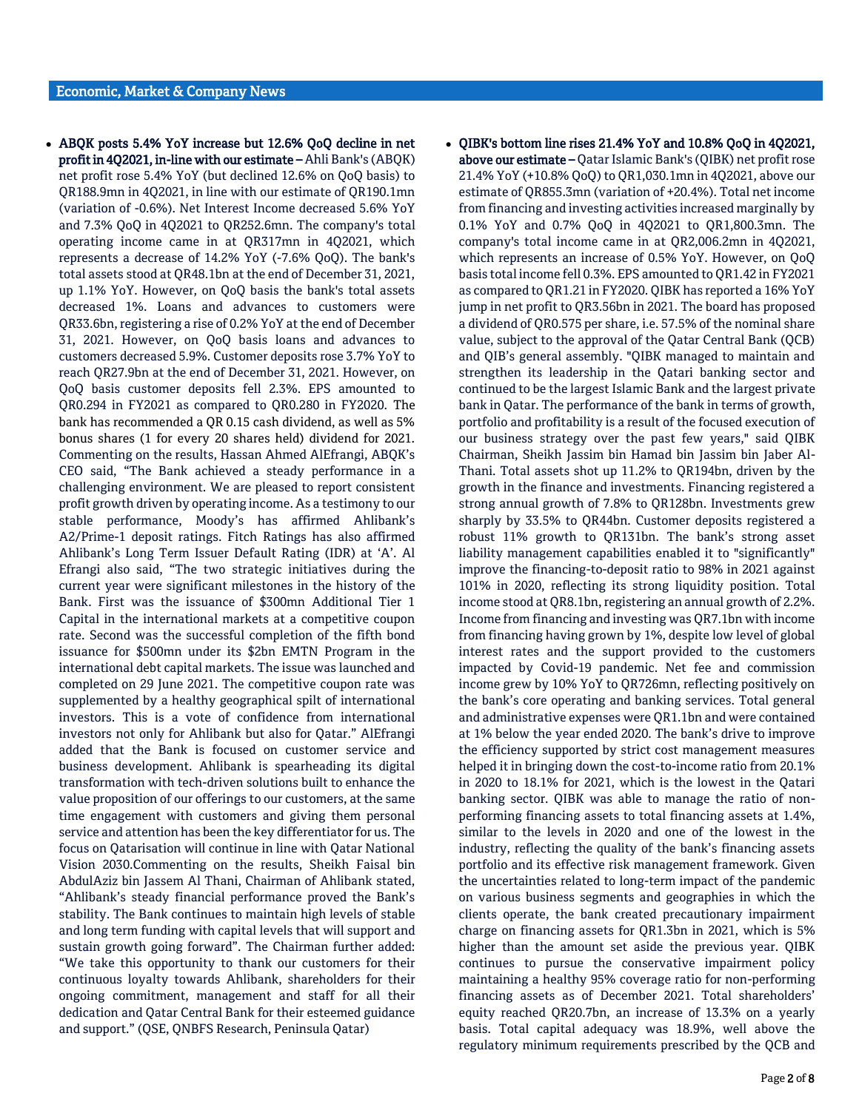- ABQK posts 5.4% YoY increase but 12.6% QoQ decline in net profit in 4Q2021, in-line with our estimate – Ahli Bank's (ABQK) net profit rose 5.4% YoY (but declined 12.6% on QoQ basis) to QR188.9mn in 4Q2021, in line with our estimate of QR190.1mn (variation of -0.6%). Net Interest Income decreased 5.6% YoY and 7.3% QoQ in 4Q2021 to QR252.6mn. The company's total operating income came in at QR317mn in 4Q2021, which represents a decrease of 14.2% YoY (-7.6% QoQ). The bank's total assets stood at QR48.1bn at the end of December 31, 2021, up 1.1% YoY. However, on QoQ basis the bank's total assets decreased 1%. Loans and advances to customers were QR33.6bn, registering a rise of 0.2% YoY at the end of December 31, 2021. However, on QoQ basis loans and advances to customers decreased 5.9%. Customer deposits rose 3.7% YoY to reach QR27.9bn at the end of December 31, 2021. However, on QoQ basis customer deposits fell 2.3%. EPS amounted to QR0.294 in FY2021 as compared to QR0.280 in FY2020. The bank has recommended a QR 0.15 cash dividend, as well as 5% bonus shares (1 for every 20 shares held) dividend for 2021. Commenting on the results, Hassan Ahmed AlEfrangi, ABQK's CEO said, "The Bank achieved a steady performance in a challenging environment. We are pleased to report consistent profit growth driven by operating income. As a testimony to our stable performance, Moody's has affirmed Ahlibank's A2/Prime-1 deposit ratings. Fitch Ratings has also affirmed Ahlibank's Long Term Issuer Default Rating (IDR) at 'A'. Al Efrangi also said, "The two strategic initiatives during the current year were significant milestones in the history of the Bank. First was the issuance of \$300mn Additional Tier 1 Capital in the international markets at a competitive coupon rate. Second was the successful completion of the fifth bond issuance for \$500mn under its \$2bn EMTN Program in the international debt capital markets. The issue was launched and completed on 29 June 2021. The competitive coupon rate was supplemented by a healthy geographical spilt of international investors. This is a vote of confidence from international investors not only for Ahlibank but also for Qatar." AlEfrangi added that the Bank is focused on customer service and business development. Ahlibank is spearheading its digital transformation with tech-driven solutions built to enhance the value proposition of our offerings to our customers, at the same time engagement with customers and giving them personal service and attention has been the key differentiator for us. The focus on Qatarisation will continue in line with Qatar National Vision 2030.Commenting on the results, Sheikh Faisal bin AbdulAziz bin Jassem Al Thani, Chairman of Ahlibank stated, "Ahlibank's steady financial performance proved the Bank's stability. The Bank continues to maintain high levels of stable and long term funding with capital levels that will support and sustain growth going forward". The Chairman further added: "We take this opportunity to thank our customers for their continuous loyalty towards Ahlibank, shareholders for their ongoing commitment, management and staff for all their dedication and Qatar Central Bank for their esteemed guidance and support." (QSE, QNBFS Research, Peninsula Qatar)
- QIBK's bottom line rises 21.4% YoY and 10.8% QoQ in 4Q2021, above our estimate – Qatar Islamic Bank's (QIBK) net profit rose 21.4% YoY (+10.8% QoQ) to QR1,030.1mn in 4Q2021, above our estimate of QR855.3mn (variation of +20.4%). Total net income from financing and investing activities increased marginally by 0.1% YoY and 0.7% QoQ in 4Q2021 to QR1,800.3mn. The company's total income came in at QR2,006.2mn in 4Q2021, which represents an increase of 0.5% YoY. However, on QoQ basis total income fell 0.3%. EPS amounted to QR1.42 in FY2021 as compared to QR1.21 in FY2020. QIBK has reported a 16% YoY jump in net profit to QR3.56bn in 2021. The board has proposed a dividend of QR0.575 per share, i.e. 57.5% of the nominal share value, subject to the approval of the Qatar Central Bank (QCB) and QIB's general assembly. "QIBK managed to maintain and strengthen its leadership in the Qatari banking sector and continued to be the largest Islamic Bank and the largest private bank in Qatar. The performance of the bank in terms of growth, portfolio and profitability is a result of the focused execution of our business strategy over the past few years," said QIBK Chairman, Sheikh Jassim bin Hamad bin Jassim bin Jaber Al-Thani. Total assets shot up 11.2% to QR194bn, driven by the growth in the finance and investments. Financing registered a strong annual growth of 7.8% to QR128bn. Investments grew sharply by 33.5% to QR44bn. Customer deposits registered a robust 11% growth to QR131bn. The bank's strong asset liability management capabilities enabled it to "significantly" improve the financing-to-deposit ratio to 98% in 2021 against 101% in 2020, reflecting its strong liquidity position. Total income stood at QR8.1bn, registering an annual growth of 2.2%. Income from financing and investing was QR7.1bn with income from financing having grown by 1%, despite low level of global interest rates and the support provided to the customers impacted by Covid-19 pandemic. Net fee and commission income grew by 10% YoY to QR726mn, reflecting positively on the bank's core operating and banking services. Total general and administrative expenses were QR1.1bn and were contained at 1% below the year ended 2020. The bank's drive to improve the efficiency supported by strict cost management measures helped it in bringing down the cost-to-income ratio from 20.1% in 2020 to 18.1% for 2021, which is the lowest in the Qatari banking sector. QIBK was able to manage the ratio of nonperforming financing assets to total financing assets at 1.4%, similar to the levels in 2020 and one of the lowest in the industry, reflecting the quality of the bank's financing assets portfolio and its effective risk management framework. Given the uncertainties related to long-term impact of the pandemic on various business segments and geographies in which the clients operate, the bank created precautionary impairment charge on financing assets for QR1.3bn in 2021, which is 5% higher than the amount set aside the previous year. QIBK continues to pursue the conservative impairment policy maintaining a healthy 95% coverage ratio for non-performing financing assets as of December 2021. Total shareholders' equity reached QR20.7bn, an increase of 13.3% on a yearly basis. Total capital adequacy was 18.9%, well above the regulatory minimum requirements prescribed by the QCB and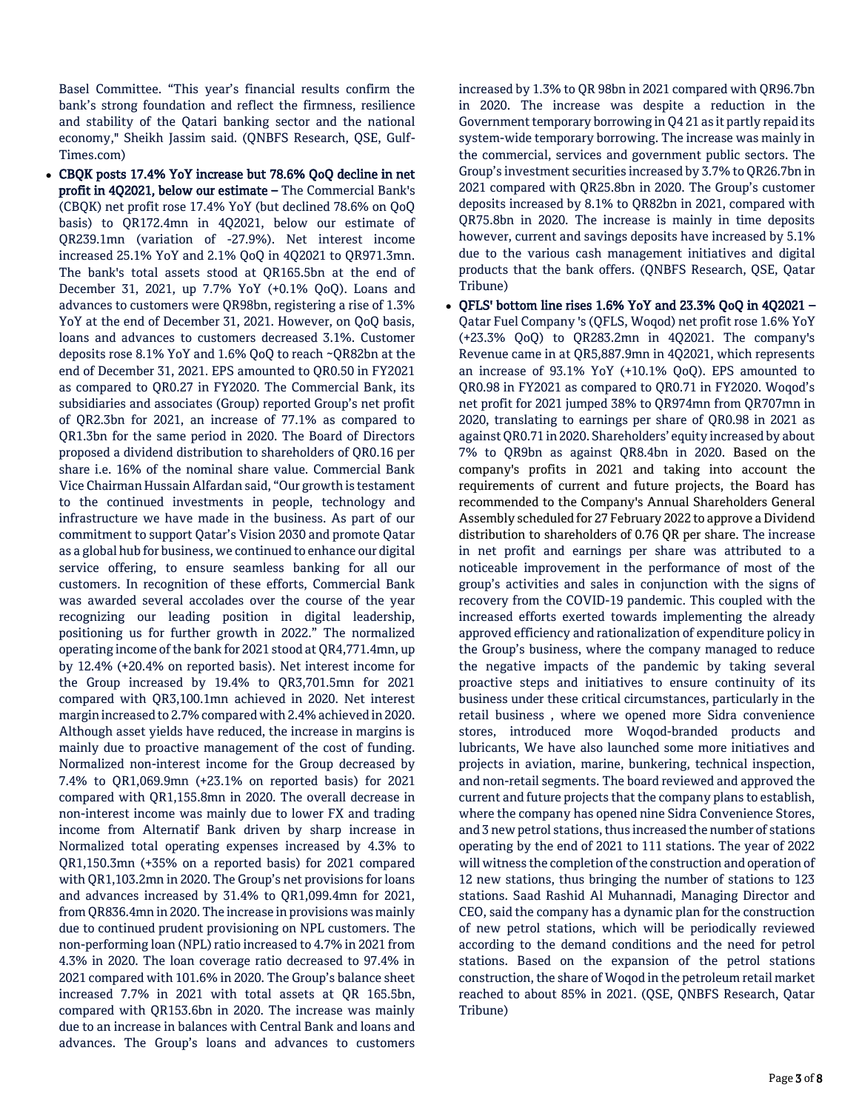Basel Committee. "This year's financial results confirm the bank's strong foundation and reflect the firmness, resilience and stability of the Qatari banking sector and the national economy," Sheikh Jassim said. (QNBFS Research, QSE, Gulf-Times.com)

 CBQK posts 17.4% YoY increase but 78.6% QoQ decline in net profit in 4Q2021, below our estimate – The Commercial Bank's (CBQK) net profit rose 17.4% YoY (but declined 78.6% on QoQ basis) to QR172.4mn in 4Q2021, below our estimate of QR239.1mn (variation of -27.9%). Net interest income increased 25.1% YoY and 2.1% QoQ in 4Q2021 to QR971.3mn. The bank's total assets stood at QR165.5bn at the end of December 31, 2021, up 7.7% YoY (+0.1% QoQ). Loans and advances to customers were QR98bn, registering a rise of 1.3% YoY at the end of December 31, 2021. However, on QoQ basis, loans and advances to customers decreased 3.1%. Customer deposits rose 8.1% YoY and 1.6% QoQ to reach ~QR82bn at the end of December 31, 2021. EPS amounted to QR0.50 in FY2021 as compared to QR0.27 in FY2020. The Commercial Bank, its subsidiaries and associates (Group) reported Group's net profit of QR2.3bn for 2021, an increase of 77.1% as compared to QR1.3bn for the same period in 2020. The Board of Directors proposed a dividend distribution to shareholders of QR0.16 per share i.e. 16% of the nominal share value. Commercial Bank Vice Chairman Hussain Alfardan said, "Our growth is testament to the continued investments in people, technology and infrastructure we have made in the business. As part of our commitment to support Qatar's Vision 2030 and promote Qatar as a global hub for business, we continued to enhance our digital service offering, to ensure seamless banking for all our customers. In recognition of these efforts, Commercial Bank was awarded several accolades over the course of the year recognizing our leading position in digital leadership, positioning us for further growth in 2022." The normalized operating income of the bank for 2021 stood at QR4,771.4mn, up by 12.4% (+20.4% on reported basis). Net interest income for the Group increased by 19.4% to QR3,701.5mn for 2021 compared with QR3,100.1mn achieved in 2020. Net interest margin increased to 2.7% compared with 2.4% achieved in 2020. Although asset yields have reduced, the increase in margins is mainly due to proactive management of the cost of funding. Normalized non-interest income for the Group decreased by 7.4% to QR1,069.9mn (+23.1% on reported basis) for 2021 compared with QR1,155.8mn in 2020. The overall decrease in non-interest income was mainly due to lower FX and trading income from Alternatif Bank driven by sharp increase in Normalized total operating expenses increased by 4.3% to QR1,150.3mn (+35% on a reported basis) for 2021 compared with QR1,103.2mn in 2020. The Group's net provisions for loans and advances increased by 31.4% to QR1,099.4mn for 2021, from QR836.4mn in 2020. The increase in provisions was mainly due to continued prudent provisioning on NPL customers. The non-performing loan (NPL) ratio increased to 4.7% in 2021 from 4.3% in 2020. The loan coverage ratio decreased to 97.4% in 2021 compared with 101.6% in 2020. The Group's balance sheet increased 7.7% in 2021 with total assets at QR 165.5bn, compared with QR153.6bn in 2020. The increase was mainly due to an increase in balances with Central Bank and loans and advances. The Group's loans and advances to customers

increased by 1.3% to QR 98bn in 2021 compared with QR96.7bn in 2020. The increase was despite a reduction in the Government temporary borrowing in Q4 21 as it partly repaid its system-wide temporary borrowing. The increase was mainly in the commercial, services and government public sectors. The Group's investment securities increased by 3.7% to QR26.7bn in 2021 compared with QR25.8bn in 2020. The Group's customer deposits increased by 8.1% to QR82bn in 2021, compared with QR75.8bn in 2020. The increase is mainly in time deposits however, current and savings deposits have increased by 5.1% due to the various cash management initiatives and digital products that the bank offers. (QNBFS Research, QSE, Qatar Tribune)

 QFLS' bottom line rises 1.6% YoY and 23.3% QoQ in 4Q2021 – Qatar Fuel Company 's (QFLS, Woqod) net profit rose 1.6% YoY (+23.3% QoQ) to QR283.2mn in 4Q2021. The company's Revenue came in at QR5,887.9mn in 4Q2021, which represents an increase of 93.1% YoY (+10.1% QoQ). EPS amounted to QR0.98 in FY2021 as compared to QR0.71 in FY2020. Woqod's net profit for 2021 jumped 38% to QR974mn from QR707mn in 2020, translating to earnings per share of QR0.98 in 2021 as against QR0.71 in 2020. Shareholders' equity increased by about 7% to QR9bn as against QR8.4bn in 2020. Based on the company's profits in 2021 and taking into account the requirements of current and future projects, the Board has recommended to the Company's Annual Shareholders General Assembly scheduled for 27 February 2022 to approve a Dividend distribution to shareholders of 0.76 QR per share. The increase in net profit and earnings per share was attributed to a noticeable improvement in the performance of most of the group's activities and sales in conjunction with the signs of recovery from the COVID-19 pandemic. This coupled with the increased efforts exerted towards implementing the already approved efficiency and rationalization of expenditure policy in the Group's business, where the company managed to reduce the negative impacts of the pandemic by taking several proactive steps and initiatives to ensure continuity of its business under these critical circumstances, particularly in the retail business , where we opened more Sidra convenience stores, introduced more Woqod-branded products and lubricants, We have also launched some more initiatives and projects in aviation, marine, bunkering, technical inspection, and non-retail segments. The board reviewed and approved the current and future projects that the company plans to establish, where the company has opened nine Sidra Convenience Stores, and 3 new petrol stations, thus increased the number of stations operating by the end of 2021 to 111 stations. The year of 2022 will witness the completion of the construction and operation of 12 new stations, thus bringing the number of stations to 123 stations. Saad Rashid Al Muhannadi, Managing Director and CEO, said the company has a dynamic plan for the construction of new petrol stations, which will be periodically reviewed according to the demand conditions and the need for petrol stations. Based on the expansion of the petrol stations construction, the share of Woqod in the petroleum retail market reached to about 85% in 2021. (QSE, QNBFS Research, Qatar Tribune)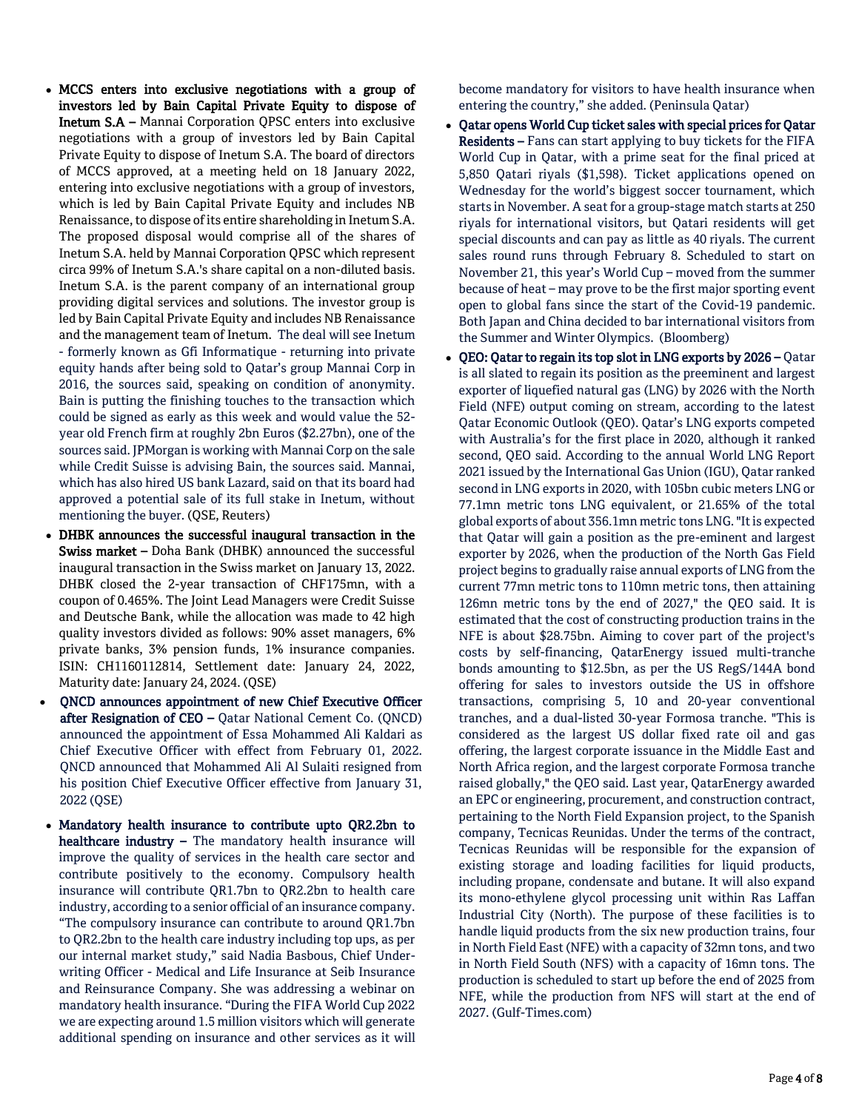- MCCS enters into exclusive negotiations with a group of investors led by Bain Capital Private Equity to dispose of Inetum S.A – Mannai Corporation QPSC enters into exclusive negotiations with a group of investors led by Bain Capital Private Equity to dispose of Inetum S.A. The board of directors of MCCS approved, at a meeting held on 18 January 2022, entering into exclusive negotiations with a group of investors, which is led by Bain Capital Private Equity and includes NB Renaissance, to dispose of its entire shareholding in Inetum S.A. The proposed disposal would comprise all of the shares of Inetum S.A. held by Mannai Corporation QPSC which represent circa 99% of Inetum S.A.'s share capital on a non-diluted basis. Inetum S.A. is the parent company of an international group providing digital services and solutions. The investor group is led by Bain Capital Private Equity and includes NB Renaissance and the management team of Inetum. The deal will see Inetum - formerly known as Gfi Informatique - returning into private equity hands after being sold to Qatar's group Mannai Corp in 2016, the sources said, speaking on condition of anonymity. Bain is putting the finishing touches to the transaction which could be signed as early as this week and would value the 52 year old French firm at roughly 2bn Euros (\$2.27bn), one of the sources said. JPMorgan is working with Mannai Corp on the sale while Credit Suisse is advising Bain, the sources said. Mannai, which has also hired US bank Lazard, said on that its board had approved a potential sale of its full stake in Inetum, without mentioning the buyer. (QSE, Reuters)
- DHBK announces the successful inaugural transaction in the Swiss market - Doha Bank (DHBK) announced the successful inaugural transaction in the Swiss market on January 13, 2022. DHBK closed the 2-year transaction of CHF175mn, with a coupon of 0.465%. The Joint Lead Managers were Credit Suisse and Deutsche Bank, while the allocation was made to 42 high quality investors divided as follows: 90% asset managers, 6% private banks, 3% pension funds, 1% insurance companies. ISIN: CH1160112814, Settlement date: January 24, 2022, Maturity date: January 24, 2024. (QSE)
- QNCD announces appointment of new Chief Executive Officer after Resignation of CEO - Qatar National Cement Co. (QNCD) announced the appointment of Essa Mohammed Ali Kaldari as Chief Executive Officer with effect from February 01, 2022. QNCD announced that Mohammed Ali Al Sulaiti resigned from his position Chief Executive Officer effective from January 31, 2022 (QSE)
- Mandatory health insurance to contribute upto QR2.2bn to healthcare industry – The mandatory health insurance will improve the quality of services in the health care sector and contribute positively to the economy. Compulsory health insurance will contribute QR1.7bn to QR2.2bn to health care industry, according to a senior official of an insurance company. "The compulsory insurance can contribute to around QR1.7bn to QR2.2bn to the health care industry including top ups, as per our internal market study," said Nadia Basbous, Chief Underwriting Officer - Medical and Life Insurance at Seib Insurance and Reinsurance Company. She was addressing a webinar on mandatory health insurance. "During the FIFA World Cup 2022 we are expecting around 1.5 million visitors which will generate additional spending on insurance and other services as it will

become mandatory for visitors to have health insurance when entering the country," she added. (Peninsula Qatar)

- Qatar opens World Cup ticket sales with special prices for Qatar Residents – Fans can start applying to buy tickets for the FIFA World Cup in Qatar, with a prime seat for the final priced at 5,850 Qatari riyals (\$1,598). Ticket applications opened on Wednesday for the world's biggest soccer tournament, which starts in November. A seat for a group-stage match starts at 250 riyals for international visitors, but Qatari residents will get special discounts and can pay as little as 40 riyals. The current sales round runs through February 8. Scheduled to start on November 21, this year's World Cup – moved from the summer because of heat – may prove to be the first major sporting event open to global fans since the start of the Covid-19 pandemic. Both Japan and China decided to bar international visitors from the Summer and Winter Olympics. (Bloomberg)
- QEO: Qatar to regain its top slot in LNG exports by 2026 Qatar is all slated to regain its position as the preeminent and largest exporter of liquefied natural gas (LNG) by 2026 with the North Field (NFE) output coming on stream, according to the latest Qatar Economic Outlook (QEO). Qatar's LNG exports competed with Australia's for the first place in 2020, although it ranked second, QEO said. According to the annual World LNG Report 2021 issued by the International Gas Union (IGU), Qatar ranked second in LNG exports in 2020, with 105bn cubic meters LNG or 77.1mn metric tons LNG equivalent, or 21.65% of the total global exports of about 356.1mn metric tons LNG. "It is expected that Qatar will gain a position as the pre-eminent and largest exporter by 2026, when the production of the North Gas Field project begins to gradually raise annual exports of LNG from the current 77mn metric tons to 110mn metric tons, then attaining 126mn metric tons by the end of 2027," the QEO said. It is estimated that the cost of constructing production trains in the NFE is about \$28.75bn. Aiming to cover part of the project's costs by self-financing, QatarEnergy issued multi-tranche bonds amounting to \$12.5bn, as per the US RegS/144A bond offering for sales to investors outside the US in offshore transactions, comprising 5, 10 and 20-year conventional tranches, and a dual-listed 30-year Formosa tranche. "This is considered as the largest US dollar fixed rate oil and gas offering, the largest corporate issuance in the Middle East and North Africa region, and the largest corporate Formosa tranche raised globally," the QEO said. Last year, QatarEnergy awarded an EPC or engineering, procurement, and construction contract, pertaining to the North Field Expansion project, to the Spanish company, Tecnicas Reunidas. Under the terms of the contract, Tecnicas Reunidas will be responsible for the expansion of existing storage and loading facilities for liquid products, including propane, condensate and butane. It will also expand its mono-ethylene glycol processing unit within Ras Laffan Industrial City (North). The purpose of these facilities is to handle liquid products from the six new production trains, four in North Field East (NFE) with a capacity of 32mn tons, and two in North Field South (NFS) with a capacity of 16mn tons. The production is scheduled to start up before the end of 2025 from NFE, while the production from NFS will start at the end of 2027. (Gulf-Times.com)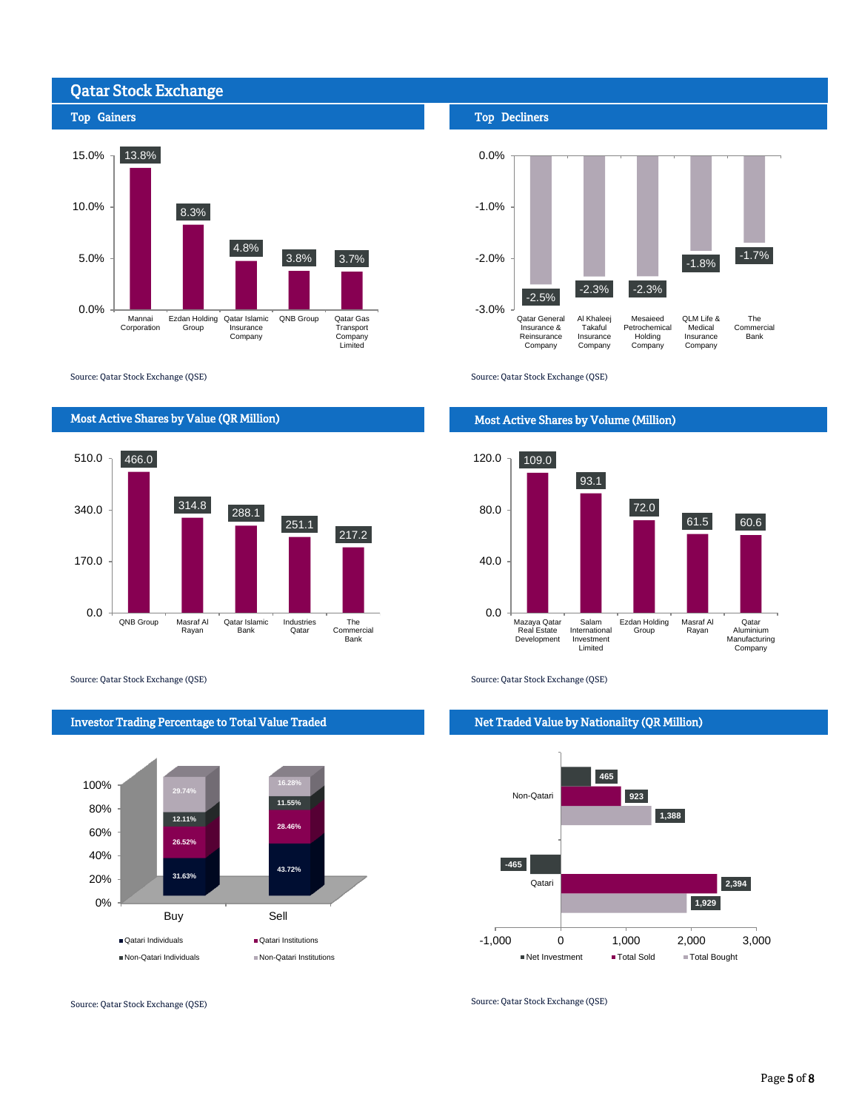

Source: Qatar Stock Exchange (QSE)



Source: Qatar Stock Exchange (QSE) Source: Qatar Stock Exchange (QSE)



Investor Trading Percentage to Total Value Traded

Source: Qatar Stock Exchange (QSE)

#### Top Decliners



Source: Qatar Stock Exchange (QSE)

### Most Active Shares by Volume (Million)



#### Net Traded Value by Nationality (QR Million)



Source: Qatar Stock Exchange (QSE)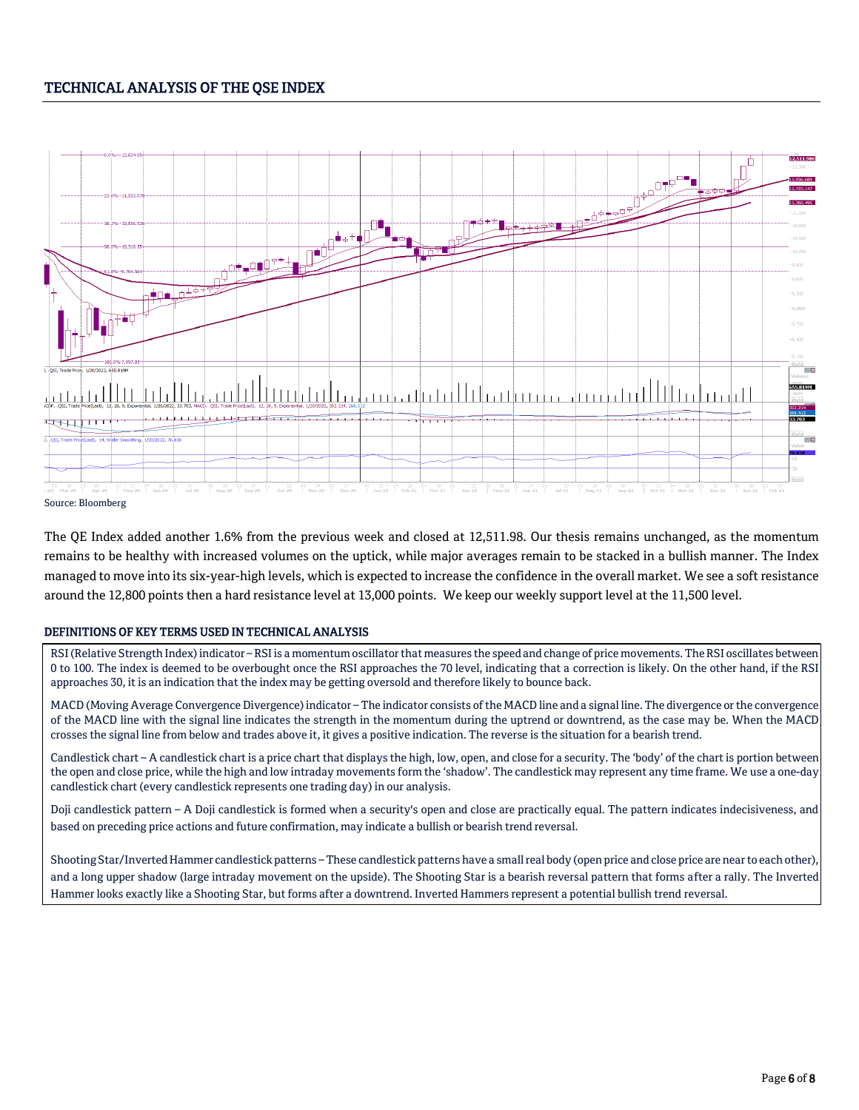## TECHNICAL ANALYSIS OF THE QSE INDEX



The QE Index added another 1.6% from the previous week and closed at 12,511.98. Our thesis remains unchanged, as the momentum remains to be healthy with increased volumes on the uptick, while major averages remain to be stacked in a bullish manner. The Index managed to move into its six-year-high levels, which is expected to increase the confidence in the overall market. We see a soft resistance around the 12,800 points then a hard resistance level at 13,000 points. We keep our weekly support level at the 11,500 level.

#### DEFINITIONS OF KEY TERMS USED IN TECHNICAL ANALYSIS

RSI (Relative Strength Index) indicator – RSI is a momentum oscillator that measures the speed and change of price movements. The RSI oscillates between 0 to 100. The index is deemed to be overbought once the RSI approaches the 70 level, indicating that a correction is likely. On the other hand, if the RSI approaches 30, it is an indication that the index may be getting oversold and therefore likely to bounce back.

MACD (Moving Average Convergence Divergence) indicator – The indicator consists of the MACD line and a signal line. The divergence or the convergence of the MACD line with the signal line indicates the strength in the momentum during the uptrend or downtrend, as the case may be. When the MACD crosses the signal line from below and trades above it, it gives a positive indication. The reverse is the situation for a bearish trend.

Candlestick chart – A candlestick chart is a price chart that displays the high, low, open, and close for a security. The 'body' of the chart is portion between the open and close price, while the high and low intraday movements form the 'shadow'. The candlestick may represent any time frame. We use a one-day candlestick chart (every candlestick represents one trading day) in our analysis.

Doji candlestick pattern – A Doji candlestick is formed when a security's open and close are practically equal. The pattern indicates indecisiveness, and based on preceding price actions and future confirmation, may indicate a bullish or bearish trend reversal.

Shooting Star/Inverted Hammer candlestick patterns – These candlestick patterns have a small real body (open price and close price are near to each other), and a long upper shadow (large intraday movement on the upside). The Shooting Star is a bearish reversal pattern that forms after a rally. The Inverted Hammer looks exactly like a Shooting Star, but forms after a downtrend. Inverted Hammers represent a potential bullish trend reversal.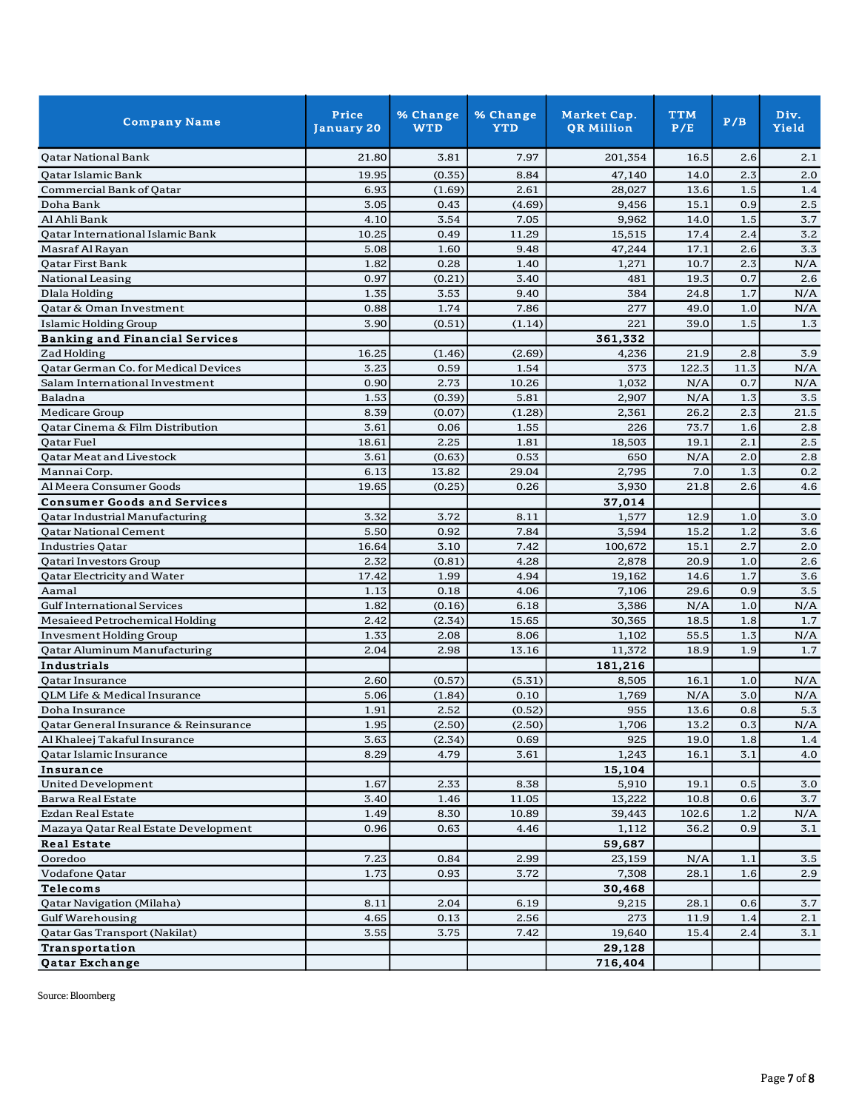| <b>Company Name</b>                   | Price<br>January 20 | % Change<br><b>WTD</b> | % Change<br><b>YTD</b> | Market Cap.<br><b>QR Million</b> | <b>TTM</b><br>P/E | P/B     | Div.<br>Yield |
|---------------------------------------|---------------------|------------------------|------------------------|----------------------------------|-------------------|---------|---------------|
| <b>Oatar National Bank</b>            | 21.80               | 3.81                   | 7.97                   | 201,354                          | 16.5              | 2.6     | 2.1           |
| <b>Qatar Islamic Bank</b>             | 19.95               | (0.35)                 | 8.84                   | 47,140                           | 14.0              | 2.3     | 2.0           |
| Commercial Bank of Oatar              | 6.93                | (1.69)                 | 2.61                   | 28.027                           | 13.6              | 1.5     | 1.4           |
| Doha Bank                             | 3.05                | 0.43                   | (4.69)                 | 9,456                            | 15.1              | 0.9     | 2.5           |
| Al Ahli Bank                          | 4.10                | 3.54                   | 7.05                   | 9,962                            | 14.0              | 1.5     | 3.7           |
| Qatar International Islamic Bank      | 10.25               | 0.49                   | 11.29                  | 15,515                           | 17.4              | 2.4     | 3.2           |
| Masraf Al Rayan                       | 5.08                | 1.60                   | 9.48                   | 47,244                           | 17.1              | 2.6     | 3.3           |
| Qatar First Bank                      | 1.82                | 0.28                   | 1.40                   | 1,271                            | 10.7              | 2.3     | N/A           |
| National Leasing                      | 0.97                | (0.21)                 | 3.40                   | 481                              | 19.3              | 0.7     | 2.6           |
| Dlala Holding                         | 1.35                | 3.53                   | 9.40                   | 384                              | 24.8              | 1.7     | N/A           |
| Qatar & Oman Investment               | 0.88                | 1.74                   | 7.86                   | 277                              | 49.0              | 1.0     | N/A           |
| Islamic Holding Group                 | 3.90                | (0.51)                 | (1.14)                 | 221                              | 39.0              | 1.5     | 1.3           |
| <b>Banking and Financial Services</b> |                     |                        |                        | 361,332                          |                   |         |               |
| Zad Holding                           | 16.25               | (1.46)                 | (2.69)                 | 4,236                            | 21.9              | 2.8     | 3.9           |
| Qatar German Co. for Medical Devices  | 3.23                | 0.59                   | 1.54                   | 373                              | 122.3             | 11.3    | N/A           |
| Salam International Investment        | 0.90                | 2.73                   | 10.26                  | 1,032                            | N/A               | 0.7     | N/A           |
| Baladna                               | 1.53                | (0.39)                 | 5.81                   | 2,907                            | N/A               | 1.3     | 3.5           |
| <b>Medicare Group</b>                 | 8.39                | (0.07)                 | (1.28)                 | 2,361                            | 26.2              | 2.3     | 21.5          |
| Qatar Cinema & Film Distribution      | 3.61                | 0.06                   | 1.55                   | 226                              | 73.7              | 1.6     | 2.8           |
| Qatar Fuel                            | 18.61               | 2.25                   | 1.81                   | 18,503                           | 19.1              | 2.1     | 2.5           |
| Qatar Meat and Livestock              | 3.61                | (0.63)                 | 0.53                   | 650                              | N/A               | 2.0     | 2.8           |
| Mannai Corp.                          | 6.13                | 13.82                  | 29.04                  | 2,795                            | 7.0               | 1.3     | 0.2           |
| Al Meera Consumer Goods               | 19.65               | (0.25)                 | 0.26                   | 3,930                            | 21.8              | 2.6     | 4.6           |
| <b>Consumer Goods and Services</b>    |                     |                        |                        | 37,014                           |                   |         |               |
| Qatar Industrial Manufacturing        | 3.32                | 3.72                   | 8.11                   | 1,577                            | 12.9              | 1.0     | 3.0           |
| <b>Qatar National Cement</b>          | 5.50                | 0.92                   | 7.84                   | 3,594                            | 15.2              | 1.2     | 3.6           |
| <b>Industries Qatar</b>               | 16.64               | 3.10                   | 7.42                   | 100,672                          | 15.1              | 2.7     | 2.0           |
| Qatari Investors Group                | 2.32                | (0.81)                 | 4.28                   | 2,878                            | 20.9              | 1.0     | 2.6           |
| Qatar Electricity and Water           | 17.42               | 1.99                   | 4.94                   | 19,162                           | 14.6              | 1.7     | 3.6           |
| Aamal                                 | 1.13                | 0.18                   | 4.06                   | 7,106                            | 29.6              | 0.9     | 3.5           |
| <b>Gulf International Services</b>    | 1.82                | (0.16)                 | 6.18                   | 3,386                            | N/A               | 1.0     | N/A           |
| Mesaieed Petrochemical Holding        | 2.42                | (2.34)                 | 15.65                  | 30,365                           | 18.5              | 1.8     | 1.7           |
| <b>Invesment Holding Group</b>        | 1.33                | 2.08                   | 8.06                   | 1,102                            | 55.5              | 1.3     | N/A           |
| <b>Qatar Aluminum Manufacturing</b>   | 2.04                | 2.98                   | 13.16                  | 11,372                           | 18.9              | 1.9     | 1.7           |
| Industrials                           |                     |                        |                        | 181,216                          |                   |         |               |
| Qatar Insurance                       | 2.60                | (0.57)                 | (5.31)                 | 8,505                            | 16.1              | 1.0     | N/A           |
| QLM Life & Medical Insurance          | 5.06                | (1.84)                 | 0.10                   | 1,769                            | N/A               | 3.0     | N/A           |
| Doha Insurance                        | 1.91                | 2.52                   | (0.52)                 | 955                              | 13.6              | 0.8     | 5.3           |
| Qatar General Insurance & Reinsurance | 1.95                | (2.50)                 | (2.50)                 | 1,706                            | $13.2\,$          | $0.3\,$ | $\rm N/A$     |
| Al Khaleej Takaful Insurance          | 3.63                | (2.34)                 | 0.69                   | 925                              | 19.0              | 1.8     | 1.4           |
| Qatar Islamic Insurance               | 8.29                | 4.79                   | 3.61                   | 1,243                            | 16.1              | 3.1     | 4.0           |
| Insurance                             |                     |                        |                        | 15,104                           |                   |         |               |
| <b>United Development</b>             | 1.67                | 2.33                   | 8.38                   | 5,910                            | 19.1              | 0.5     | 3.0           |
| <b>Barwa Real Estate</b>              | 3.40                | 1.46                   | 11.05                  | 13,222                           | 10.8              | 0.6     | 3.7           |
| Ezdan Real Estate                     | 1.49                | 8.30                   | 10.89                  | 39,443                           | 102.6             | 1.2     | N/A           |
| Mazaya Qatar Real Estate Development  | 0.96                | 0.63                   | 4.46                   | 1,112                            | 36.2              | 0.9     | 3.1           |
| <b>Real Estate</b>                    |                     |                        |                        | 59,687                           |                   |         |               |
| Ooredoo                               | 7.23                | 0.84                   | 2.99                   | 23,159                           | N/A               | 1.1     | 3.5           |
| Vodafone Qatar                        | 1.73                | 0.93                   | 3.72                   | 7,308                            | 28.1              | 1.6     | 2.9           |
| Telecoms                              |                     |                        |                        | 30,468                           |                   |         |               |
| Qatar Navigation (Milaha)             | 8.11                | 2.04                   | 6.19                   | 9,215                            | 28.1              | 0.6     | 3.7           |
| <b>Gulf Warehousing</b>               | 4.65                | 0.13                   | 2.56                   | 273                              | 11.9              | 1.4     | 2.1           |
| Qatar Gas Transport (Nakilat)         | 3.55                | 3.75                   | 7.42                   | 19,640                           | 15.4              | 2.4     | 3.1           |
| <b>Transportation</b>                 |                     |                        |                        | 29,128                           |                   |         |               |
| <b>Qatar Exchange</b>                 |                     |                        |                        | 716,404                          |                   |         |               |